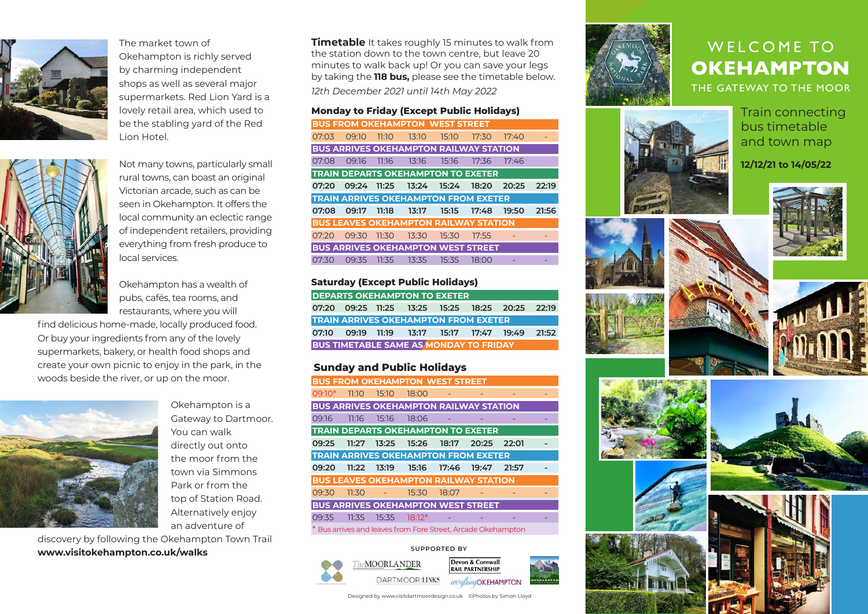

The market town of Okehampton is richly served by charming independent shops as well as several major supermarkets. Red Lion Yard is a lovely retail area, which used to be the stabling yard of the Red Lion Hotel.



Not many towns, particularly small rural towns, can boast an original Victorian arcade, such as can be seen in Okehampton. It offers the local community an eclectic range of independent retailers, providing everything from fresh produce to local services.

Okehampton has a wealth of pubs, cafés, tea rooms, and restaurants, where you will

find delicious home-made, locally produced food. Or buy your ingredients from any of the lovely supermarkets, bakery, or health food shops and create your own picnic to enjoy in the park, in the woods beside the river, or up on the moor.



Okehampton is a<br>
Gateway to Dartmoor. 09:1<br>
You can walk<br>
directly out onto<br>
the moor from the<br>
TRA Okehampton is a Gateway to Dartmoor. You can walk directly out onto the moor from the town via Simmons Park or from the top of Station Road. Alternatively enjoy an adventure of

discovery by following the Okehampton Town Trail **www.visitokehampton.co.uk/walks**

**Timetable** It takes roughly 15 minutes to walk from the station down to the town centre, but leave 20 minutes to walk back up! Or you can save your legs by taking the **118 bus,** please see the timetable below.

*12th December 2021 until 14th May 2022*

## **Monday to Friday (Except Public Holidays)**

|       |       |       | <b>BUS FROM OKEHAMPTON WEST STREET</b>        |       |       |       |       |
|-------|-------|-------|-----------------------------------------------|-------|-------|-------|-------|
| 07:03 | 09:10 | 11:10 | 13:10                                         | 15:10 | 17:30 | 17:40 |       |
|       |       |       | <b>BUS ARRIVES OKEHAMPTON RAILWAY STATION</b> |       |       |       |       |
| 07:08 | 09:16 |       | $11:16$ $13:16$ $15:16$                       |       | 17:36 | 17:46 |       |
|       |       |       | <b>TRAIN DEPARTS OKEHAMPTON TO EXETER</b>     |       |       |       |       |
| 07:20 | 09:24 | 11:25 |                                               |       |       | 20:25 | 22:19 |
|       |       |       |                                               |       |       |       |       |
|       |       |       | <b>TRAIN ARRIVES OKEHAMPTON FROM EXETER</b>   |       |       |       |       |
| 07:08 | 09:17 | 11:18 | 13:17                                         | 15:15 | 17:48 | 19:50 | 21:56 |
|       |       |       | <b>BUS LEAVES OKEHAMPTON RAILWAY STATION</b>  |       |       |       |       |
| 07:20 | 09:30 | 11:30 | 13:30                                         | 15:30 | 17:55 |       |       |
|       |       |       | <b>BUS ARRIVES OKEHAMPTON WEST STREET</b>     |       |       |       |       |

#### **Saturday (Except Public Holidays)**

| <b>DEPARTS OKEHAMPTON TO EXETER</b> |  |  |                                               |  |  |                                                        |  |
|-------------------------------------|--|--|-----------------------------------------------|--|--|--------------------------------------------------------|--|
|                                     |  |  |                                               |  |  | 07:20  09:25  11:25  13:25  15:25  18:25  20:25  22:19 |  |
|                                     |  |  | <b>TRAIN ARRIVES OKEHAMPTON FROM EXETER</b>   |  |  |                                                        |  |
|                                     |  |  |                                               |  |  | 07:10 09:19 11:19 13:17 15:17 17:47 19:49 21:52        |  |
|                                     |  |  | <b>BUS TIMETABLE SAME AS MONDAY TO FRIDAY</b> |  |  |                                                        |  |

### **Sunday and Public Holidays**

|          |       |       | <b>BUS FROM OKEHAMPTON WEST STREET</b>      |                          |                                               |       |  |
|----------|-------|-------|---------------------------------------------|--------------------------|-----------------------------------------------|-------|--|
| $09:10*$ | 11:10 | 15:10 | 18:00                                       |                          |                                               |       |  |
|          |       |       |                                             |                          | <b>BUS ARRIVES OKEHAMPTON RAILWAY STATION</b> |       |  |
| 09:16    | 11:16 | 15:16 | 18:06                                       | $\overline{\phantom{a}}$ |                                               |       |  |
|          |       |       |                                             |                          | <b>TRAIN DEPARTS OKEHAMPTON TO EXETER</b>     |       |  |
| 09:25    | 11:27 |       | 13:25 15:26                                 | 18:17                    | 20:25                                         | 22:01 |  |
|          |       |       | <b>TRAIN ARRIVES OKEHAMPTON FROM EXETER</b> |                          |                                               |       |  |
|          |       |       |                                             |                          |                                               |       |  |
| 09:20    | 11:22 |       |                                             | 17:46                    | 19:47                                         | 21:57 |  |
|          |       |       |                                             |                          | <b>BUS LEAVES OKEHAMPTON RAILWAY STATION</b>  |       |  |
| 09:30    | 11:30 |       | 15:30                                       | 18:07                    |                                               |       |  |
|          |       |       |                                             |                          | <b>BUS ARRIVES OKEHAMPTON WEST STREET</b>     |       |  |
| 09:35    | 11:35 | 15:35 | $18:12*$                                    |                          |                                               |       |  |

#### **SUPPORTED BY**



Designed by www.visitdartmoordesign.co.uk ©Photos by Simon Lloyd



# WELCOME TO **OKEHAMPTON**

THE GATEWAY TO THE MOOR

Train connecting bus timetable and town map

**12/12/21 to 14/05/22**